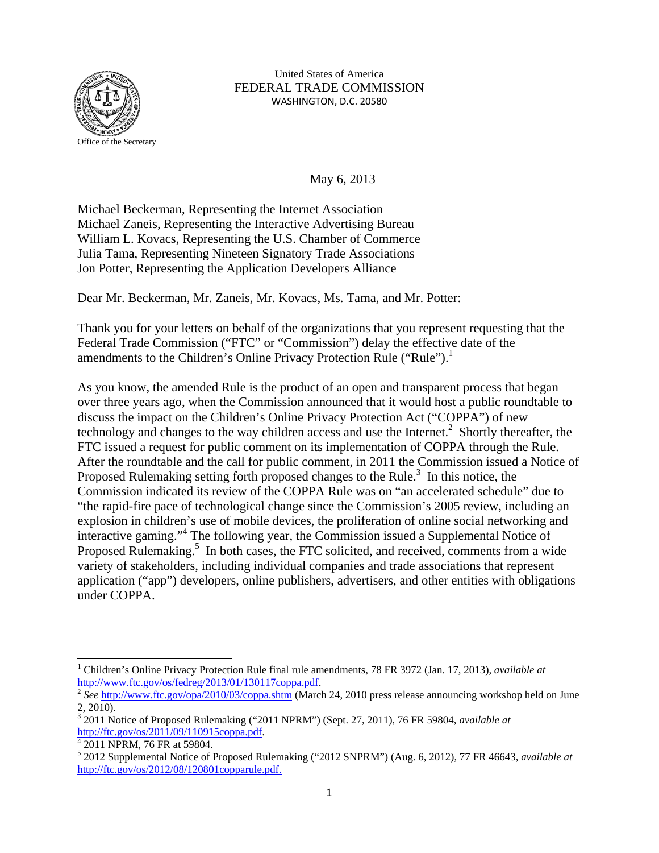

United States of America FEDERAL TRADE COMMISSION WASHINGTON, D.C. 20580

May 6, 2013

Michael Beckerman, Representing the Internet Association Michael Zaneis, Representing the Interactive Advertising Bureau William L. Kovacs, Representing the U.S. Chamber of Commerce Julia Tama, Representing Nineteen Signatory Trade Associations Jon Potter, Representing the Application Developers Alliance

Dear Mr. Beckerman, Mr. Zaneis, Mr. Kovacs, Ms. Tama, and Mr. Potter:

Thank you for your letters on behalf of the organizations that you represent requesting that the Federal Trade Commission ("FTC" or "Commission") delay the effective date of the amendments to the Children's Online Privacy Protection Rule ("Rule").<sup>1</sup>

As you know, the amended Rule is the product of an open and transparent process that began over three years ago, when the Commission announced that it would host a public roundtable to discuss the impact on the Children's Online Privacy Protection Act ("COPPA") of new technology and changes to the way children access and use the Internet. $2$  Shortly thereafter, the FTC issued a request for public comment on its implementation of COPPA through the Rule. After the roundtable and the call for public comment, in 2011 the Commission issued a Notice of Proposed Rulemaking setting forth proposed changes to the Rule. $3$  In this notice, the Commission indicated its review of the COPPA Rule was on "an accelerated schedule" due to "the rapid-fire pace of technological change since the Commission's 2005 review, including an explosion in children's use of mobile devices, the proliferation of online social networking and interactive gaming."<sup>4</sup> The following year, the Commission issued a Supplemental Notice of Proposed Rulemaking.<sup>5</sup> In both cases, the FTC solicited, and received, comments from a wide variety of stakeholders, including individual companies and trade associations that represent application ("app") developers, online publishers, advertisers, and other entities with obligations under COPPA.

<sup>1</sup> Children's Online Privacy Protection Rule final rule amendments, 78 FR 3972 (Jan. 17, 2013), *available at* http://www.ftc.gov/os/fedreg/2013/01/130117coppa.pdf.<br><sup>2</sup> See http://www.ftc.gov/opa/2010/03/coppa.shtm (March 24, 2010 press release announcing workshop held on June

<sup>2, 2010).</sup> 

<sup>&</sup>lt;sup>3</sup> 2011 Notice of Proposed Rulemaking ("2011 NPRM") (Sept. 27, 2011), 76 FR 59804, *available at* http://ftc.gov/os/2011/09/110915coppa.pdf.

 $4\overline{2011}$  NPRM, 76 FR at 59804.

<sup>5</sup> 2012 Supplemental Notice of Proposed Rulemaking ("2012 SNPRM") (Aug. 6, 2012), 77 FR 46643, *available at* http://ftc.gov/os/2012/08/120801copparule.pdf.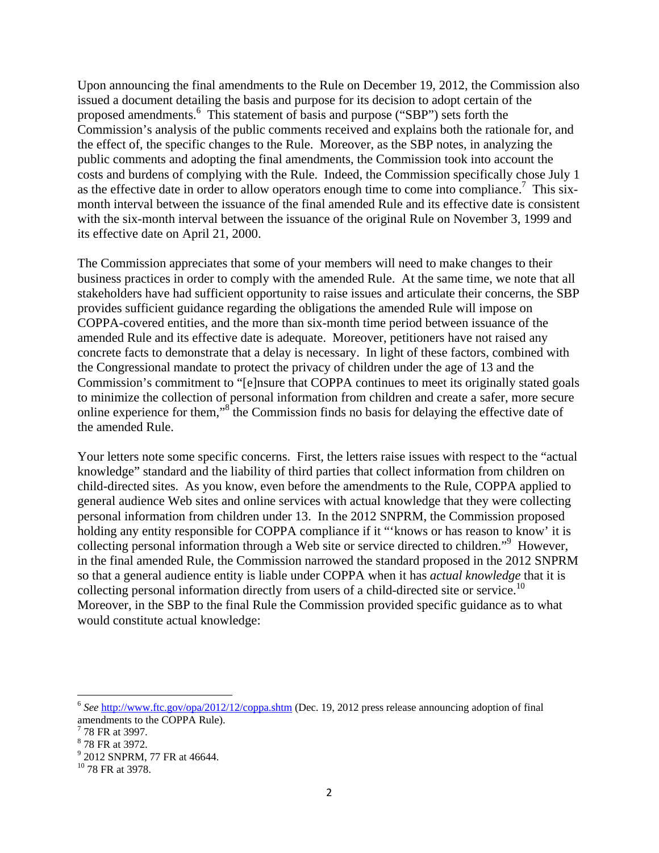Upon announcing the final amendments to the Rule on December 19, 2012, the Commission also issued a document detailing the basis and purpose for its decision to adopt certain of the proposed amendments.<sup>6</sup> This statement of basis and purpose ("SBP") sets forth the Commission's analysis of the public comments received and explains both the rationale for, and the effect of, the specific changes to the Rule. Moreover, as the SBP notes, in analyzing the public comments and adopting the final amendments, the Commission took into account the costs and burdens of complying with the Rule. Indeed, the Commission specifically chose July 1 as the effective date in order to allow operators enough time to come into compliance.<sup>7</sup> This sixmonth interval between the issuance of the final amended Rule and its effective date is consistent with the six-month interval between the issuance of the original Rule on November 3, 1999 and its effective date on April 21, 2000.

The Commission appreciates that some of your members will need to make changes to their business practices in order to comply with the amended Rule. At the same time, we note that all stakeholders have had sufficient opportunity to raise issues and articulate their concerns, the SBP provides sufficient guidance regarding the obligations the amended Rule will impose on COPPA-covered entities, and the more than six-month time period between issuance of the amended Rule and its effective date is adequate. Moreover, petitioners have not raised any concrete facts to demonstrate that a delay is necessary. In light of these factors, combined with the Congressional mandate to protect the privacy of children under the age of 13 and the Commission's commitment to "[e]nsure that COPPA continues to meet its originally stated goals to minimize the collection of personal information from children and create a safer, more secure online experience for them,"<sup>8</sup> the Commission finds no basis for delaying the effective date of the amended Rule.

Your letters note some specific concerns. First, the letters raise issues with respect to the "actual knowledge" standard and the liability of third parties that collect information from children on child-directed sites. As you know, even before the amendments to the Rule, COPPA applied to general audience Web sites and online services with actual knowledge that they were collecting personal information from children under 13. In the 2012 SNPRM, the Commission proposed holding any entity responsible for COPPA compliance if it "'knows or has reason to know' it is collecting personal information through a Web site or service directed to children."<sup>9</sup> However, in the final amended Rule, the Commission narrowed the standard proposed in the 2012 SNPRM so that a general audience entity is liable under COPPA when it has *actual knowledge* that it is collecting personal information directly from users of a child-directed site or service.<sup>10</sup> Moreover, in the SBP to the final Rule the Commission provided specific guidance as to what would constitute actual knowledge:

<sup>&</sup>lt;sup>6</sup> See http://www.ftc.gov/opa/2012/12/coppa.shtm (Dec. 19, 2012 press release announcing adoption of final amendments to the COPPA Rule).

<sup>&</sup>lt;sup>7</sup> 78 FR at 3997.

<sup>8</sup> 78 FR at 3972.

<sup>&</sup>lt;sup>9</sup> 2012 SNPRM, 77 FR at 46644.

<sup>10 78</sup> FR at 3978.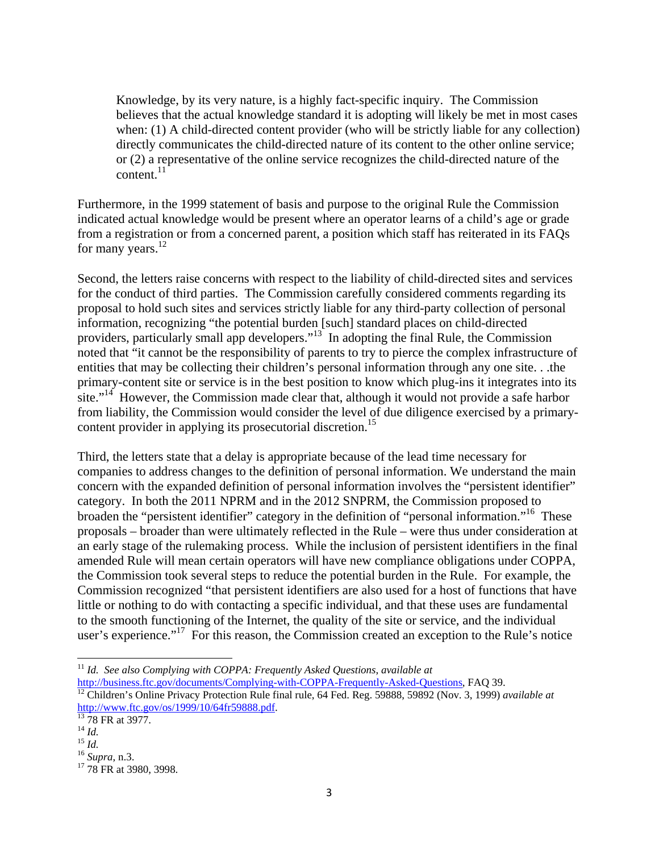Knowledge, by its very nature, is a highly fact-specific inquiry. The Commission believes that the actual knowledge standard it is adopting will likely be met in most cases when: (1) A child-directed content provider (who will be strictly liable for any collection) directly communicates the child-directed nature of its content to the other online service; or (2) a representative of the online service recognizes the child-directed nature of the content.<sup>11</sup>

Furthermore, in the 1999 statement of basis and purpose to the original Rule the Commission indicated actual knowledge would be present where an operator learns of a child's age or grade from a registration or from a concerned parent, a position which staff has reiterated in its FAQs for many years. $^{12}$ 

Second, the letters raise concerns with respect to the liability of child-directed sites and services for the conduct of third parties. The Commission carefully considered comments regarding its proposal to hold such sites and services strictly liable for any third-party collection of personal information, recognizing "the potential burden [such] standard places on child-directed providers, particularly small app developers."<sup>13</sup> In adopting the final Rule, the Commission noted that "it cannot be the responsibility of parents to try to pierce the complex infrastructure of entities that may be collecting their children's personal information through any one site. . .the primary-content site or service is in the best position to know which plug-ins it integrates into its site."<sup>14</sup> However, the Commission made clear that, although it would not provide a safe harbor from liability, the Commission would consider the level of due diligence exercised by a primarycontent provider in applying its prosecutorial discretion.<sup>15</sup>

Third, the letters state that a delay is appropriate because of the lead time necessary for companies to address changes to the definition of personal information. We understand the main concern with the expanded definition of personal information involves the "persistent identifier" category. In both the 2011 NPRM and in the 2012 SNPRM, the Commission proposed to broaden the "persistent identifier" category in the definition of "personal information."16 These proposals – broader than were ultimately reflected in the Rule – were thus under consideration at an early stage of the rulemaking process. While the inclusion of persistent identifiers in the final amended Rule will mean certain operators will have new compliance obligations under COPPA, the Commission took several steps to reduce the potential burden in the Rule. For example, the Commission recognized "that persistent identifiers are also used for a host of functions that have little or nothing to do with contacting a specific individual, and that these uses are fundamental to the smooth functioning of the Internet, the quality of the site or service, and the individual user's experience."<sup>17</sup> For this reason, the Commission created an exception to the Rule's notice

<sup>11</sup> *Id. See also Complying with COPPA: Frequently Asked Questions*, *available at* 

http://business.ftc.gov/documents/Complying-with-COPPA-Frequently-Asked-Questions, FAQ 39. 12 Children's Online Privacy Protection Rule final rule, 64 Fed. Reg. 59888, 59892 (Nov. 3, 1999) *available at*  http://www.ftc.gov/os/1999/10/64fr59888.pdf.<br>
<sup>13</sup> 78 FR at 3977.<br>
<sup>14</sup> *Id.* 

<sup>15</sup> *Id.*<br><sup>16</sup> *Supra*, n.3.<br><sup>17</sup> 78 FR at 3980, 3998.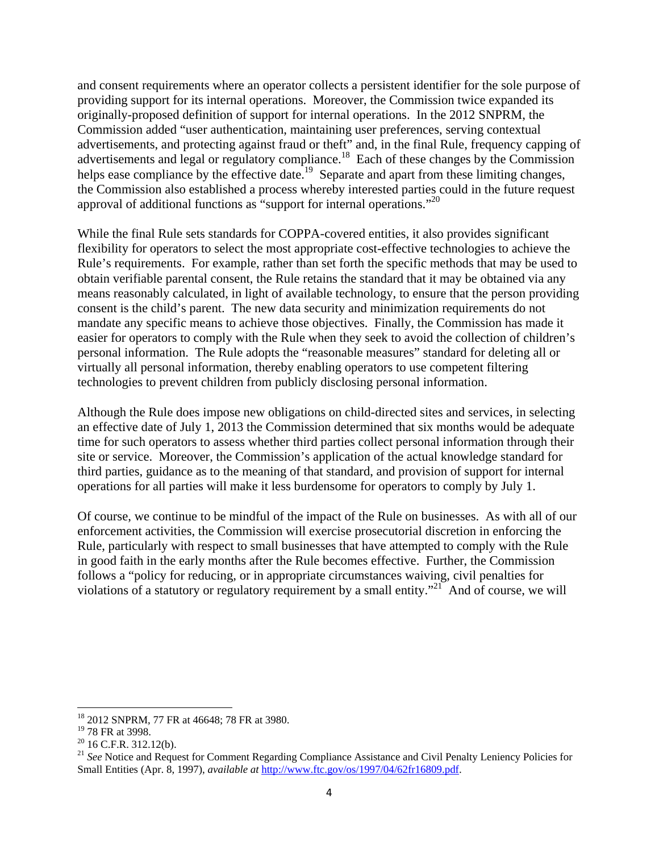and consent requirements where an operator collects a persistent identifier for the sole purpose of providing support for its internal operations. Moreover, the Commission twice expanded its originally-proposed definition of support for internal operations. In the 2012 SNPRM, the Commission added "user authentication, maintaining user preferences, serving contextual advertisements, and protecting against fraud or theft" and, in the final Rule, frequency capping of advertisements and legal or regulatory compliance.<sup>18</sup> Each of these changes by the Commission helps ease compliance by the effective date.<sup>19</sup> Separate and apart from these limiting changes, the Commission also established a process whereby interested parties could in the future request approval of additional functions as "support for internal operations."20

While the final Rule sets standards for COPPA-covered entities, it also provides significant flexibility for operators to select the most appropriate cost-effective technologies to achieve the Rule's requirements. For example, rather than set forth the specific methods that may be used to obtain verifiable parental consent, the Rule retains the standard that it may be obtained via any means reasonably calculated, in light of available technology, to ensure that the person providing consent is the child's parent. The new data security and minimization requirements do not mandate any specific means to achieve those objectives. Finally, the Commission has made it easier for operators to comply with the Rule when they seek to avoid the collection of children's personal information. The Rule adopts the "reasonable measures" standard for deleting all or virtually all personal information, thereby enabling operators to use competent filtering technologies to prevent children from publicly disclosing personal information.

Although the Rule does impose new obligations on child-directed sites and services, in selecting an effective date of July 1, 2013 the Commission determined that six months would be adequate time for such operators to assess whether third parties collect personal information through their site or service. Moreover, the Commission's application of the actual knowledge standard for third parties, guidance as to the meaning of that standard, and provision of support for internal operations for all parties will make it less burdensome for operators to comply by July 1.

Of course, we continue to be mindful of the impact of the Rule on businesses. As with all of our enforcement activities, the Commission will exercise prosecutorial discretion in enforcing the Rule, particularly with respect to small businesses that have attempted to comply with the Rule in good faith in the early months after the Rule becomes effective. Further, the Commission follows a "policy for reducing, or in appropriate circumstances waiving, civil penalties for violations of a statutory or regulatory requirement by a small entity."<sup>21</sup> And of course, we will

<sup>&</sup>lt;sup>18</sup> 2012 SNPRM, 77 FR at 46648; 78 FR at 3980.

 $^{19}$  78 FR at 3998.

 $20$  16 C.F.R. 312.12(b).

<sup>&</sup>lt;sup>21</sup> See Notice and Request for Comment Regarding Compliance Assistance and Civil Penalty Leniency Policies for Small Entities (Apr. 8, 1997), *available at* http://www.ftc.gov/os/1997/04/62fr16809.pdf.